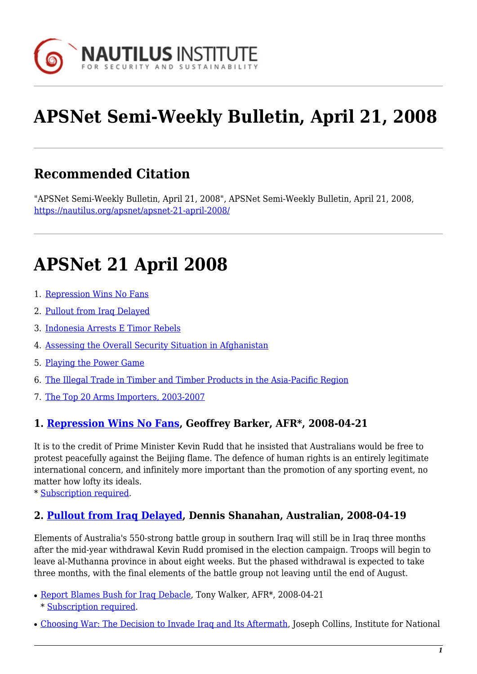

# **APSNet Semi-Weekly Bulletin, April 21, 2008**

# **Recommended Citation**

"APSNet Semi-Weekly Bulletin, April 21, 2008", APSNet Semi-Weekly Bulletin, April 21, 2008, <https://nautilus.org/apsnet/apsnet-21-april-2008/>

# **APSNet 21 April 2008**

- 1. [Repression Wins No Fans](#page-0-0)
- 2. [Pullout from Iraq Delayed](#page--1-0)
- 3. [Indonesia Arrests E Timor Rebels](#page-1-0)
- 4. [Assessing the Overall Security Situation in Afghanistan](#page-1-1)
- 5. [Playing the Power Game](#page-1-2)
- 6. [The Illegal Trade in Timber and Timber Products in the Asia-Pacific Region](#page--1-0)
- 7. [The Top 20 Arms Importers, 2003-2007](#page-1-3)

#### <span id="page-0-0"></span>**1. [Repression Wins No Fans](http://www.afr.com/home/viewer.aspx?ATL://20080421000020569147&title=Repression wins no fans), Geoffrey Barker, AFR\*, 2008-04-21**

It is to the credit of Prime Minister Kevin Rudd that he insisted that Australians would be free to protest peacefully against the Beijing flame. The defence of human rights is an entirely legitimate international concern, and infinitely more important than the promotion of any sporting event, no matter how lofty its ideals.

\* [Subscription required.](http://nautilus.org/subscription.html)

#### **2. [Pullout from Iraq Delayed,](http://www.theaustralian.news.com.au/story/0,25197,23563310-31477,00.html) Dennis Shanahan, Australian, 2008-04-19**

Elements of Australia's 550-strong battle group in southern Iraq will still be in Iraq three months after the mid-year withdrawal Kevin Rudd promised in the election campaign. Troops will begin to leave al-Muthanna province in about eight weeks. But the phased withdrawal is expected to take three months, with the final elements of the battle group not leaving until the end of August.

- [Report Blames Bush for Iraq Debacle](http://www.afr.com/home/viewer.aspx?ATL://20080421000020569071&title=Report blames Bush for Iraq debacle), Tony Walker, AFR\*, 2008-04-21 \* [Subscription required](http://nautilus.org/subscription.html).
- [Choosing War: The Decision to Invade Iraq and Its Aftermath](https://apps.dtic.mil/dtic/tr/fulltext/u2/a479692.pdf), Joseph Collins, Institute for National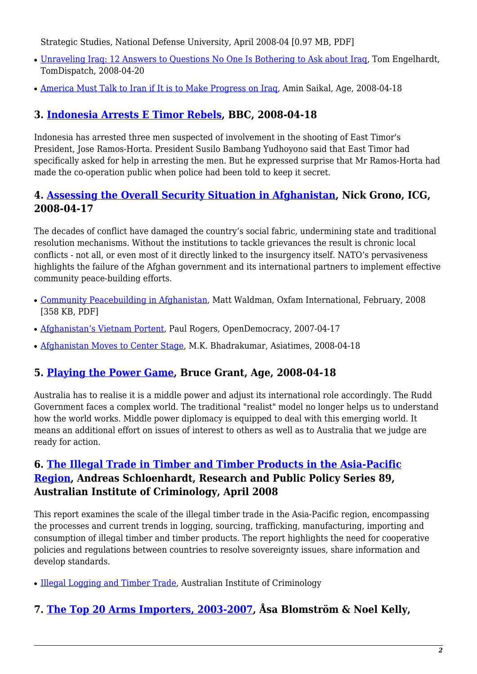Strategic Studies, National Defense University, April 2008-04 [0.97 MB, PDF]

- Unraveling Irag: 12 Answers to Questions No One Is Bothering to Ask about Irag, Tom Engelhardt, TomDispatch, 2008-04-20
- [America Must Talk to Iran if It is to Make Progress on Iraq,](http://www.theage.com.au/news/opinion/america-must-talk-to-iran-to-make-progress-on-iraq/2008/04/17/1208025379778.html?page=fullpage) Amin Saikal, Age, 2008-04-18

# <span id="page-1-0"></span>**3. [Indonesia Arrests E Timor Rebels,](http://news.bbc.co.uk/2/hi/asia-pacific/7355189.stm) BBC, 2008-04-18**

Indonesia has arrested three men suspected of involvement in the shooting of East Timor's President, Jose Ramos-Horta. President Susilo Bambang Yudhoyono said that East Timor had specifically asked for help in arresting the men. But he expressed surprise that Mr Ramos-Horta had made the co-operation public when police had been told to keep it secret.

## <span id="page-1-1"></span>**4. [Assessing the Overall Security Situation in Afghanistan,](http://www.crisisgroup.org/home/index.cfm?id=5396&l=1) Nick Grono, ICG, 2008-04-17**

The decades of conflict have damaged the country's social fabric, undermining state and traditional resolution mechanisms. Without the institutions to tackle grievances the result is chronic local conflicts - not all, or even most of it directly linked to the insurgency itself. NATO's pervasiveness highlights the failure of the Afghan government and its international partners to implement effective community peace-building efforts.

- [Community Peacebuilding in Afghanistan,](http://www.oxfam.org/en/files/community_peacebuilding_in_afghanistan_report_feb08.pdf) Matt Waldman, Oxfam International, February, 2008 [358 KB, PDF]
- [Afghanistan's Vietnam Portent,](http://www.opendemocracy.net/article/conflicts/global_security/afghanistan_vietnam) Paul Rogers, OpenDemocracy, 2007-04-17
- [Afghanistan Moves to Center Stage](http://www.atimes.com/atimes/South_Asia/JD19Df02.html), M.K. Bhadrakumar, Asiatimes, 2008-04-18

## <span id="page-1-2"></span>**5. [Playing the Power Game,](http://www.theage.com.au/news/opinion/australia-playing-the-power-game/2008/04/17/1208025379775.html?page=fullpage) Bruce Grant, Age, 2008-04-18**

Australia has to realise it is a middle power and adjust its international role accordingly. The Rudd Government faces a complex world. The traditional "realist" model no longer helps us to understand how the world works. Middle power diplomacy is equipped to deal with this emerging world. It means an additional effort on issues of interest to others as well as to Australia that we judge are ready for action.

## **6. [The Illegal Trade in Timber and Timber Products in the Asia-Pacific](http://www.aic.gov.au/publications/rpp/89/) [Region](http://www.aic.gov.au/publications/rpp/89/), Andreas Schloenhardt, Research and Public Policy Series 89, Australian Institute of Criminology, April 2008**

This report examines the scale of the illegal timber trade in the Asia-Pacific region, encompassing the processes and current trends in logging, sourcing, trafficking, manufacturing, importing and consumption of illegal timber and timber products. The report highlights the need for cooperative policies and regulations between countries to resolve sovereignty issues, share information and develop standards.

• [Illegal Logging and Timber Trade,](http://www.aic.gov.au/topics/environment/logging.html) Australian Institute of Criminology

## <span id="page-1-3"></span>**7. [The Top 20 Arms Importers, 2003-2007,](http://www.sipri.org/googlemaps/at_top_20_imp_map.html) Åsa Blomström & Noel Kelly,**